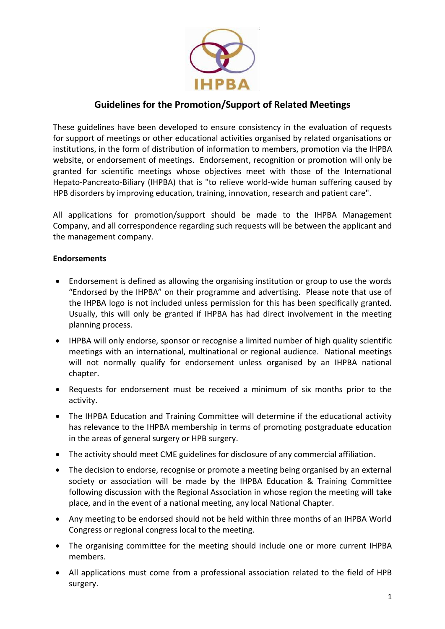

# **Guidelines for the Promotion/Support of Related Meetings**

These guidelines have been developed to ensure consistency in the evaluation of requests for support of meetings or other educational activities organised by related organisations or institutions, in the form of distribution of information to members, promotion via the IHPBA website, or endorsement of meetings. Endorsement, recognition or promotion will only be granted for scientific meetings whose objectives meet with those of the International Hepato-Pancreato-Biliary (IHPBA) that is "to relieve world-wide human suffering caused by HPB disorders by improving education, training, innovation, research and patient care".

All applications for promotion/support should be made to the IHPBA Management Company, and all correspondence regarding such requests will be between the applicant and the management company.

#### **Endorsements**

- Endorsement is defined as allowing the organising institution or group to use the words "Endorsed by the IHPBA" on their programme and advertising. Please note that use of the IHPBA logo is not included unless permission for this has been specifically granted. Usually, this will only be granted if IHPBA has had direct involvement in the meeting planning process.
- IHPBA will only endorse, sponsor or recognise a limited number of high quality scientific meetings with an international, multinational or regional audience. National meetings will not normally qualify for endorsement unless organised by an IHPBA national chapter.
- Requests for endorsement must be received a minimum of six months prior to the activity.
- The IHPBA Education and Training Committee will determine if the educational activity has relevance to the IHPBA membership in terms of promoting postgraduate education in the areas of general surgery or HPB surgery.
- The activity should meet CME guidelines for disclosure of any commercial affiliation.
- The decision to endorse, recognise or promote a meeting being organised by an external society or association will be made by the IHPBA Education & Training Committee following discussion with the Regional Association in whose region the meeting will take place, and in the event of a national meeting, any local National Chapter.
- Any meeting to be endorsed should not be held within three months of an IHPBA World Congress or regional congress local to the meeting.
- The organising committee for the meeting should include one or more current IHPBA members.
- All applications must come from a professional association related to the field of HPB surgery.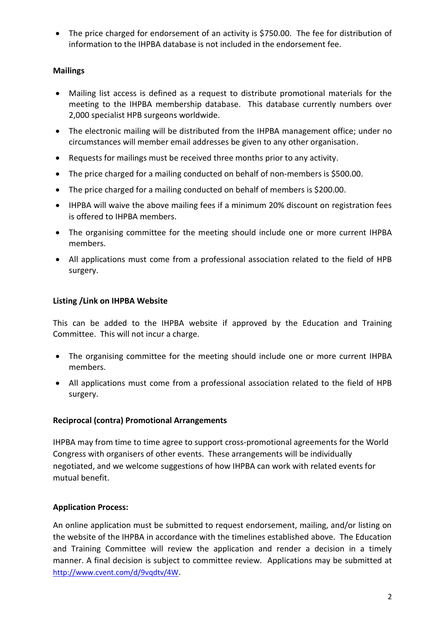• The price charged for endorsement of an activity is \$750.00. The fee for distribution of information to the IHPBA database is not included in the endorsement fee.

# **Mailings**

- Mailing list access is defined as a request to distribute promotional materials for the meeting to the IHPBA membership database. This database currently numbers over 2,000 specialist HPB surgeons worldwide.
- The electronic mailing will be distributed from the IHPBA management office; under no circumstances will member email addresses be given to any other organisation.
- Requests for mailings must be received three months prior to any activity.
- The price charged for a mailing conducted on behalf of non-members is \$500.00.
- The price charged for a mailing conducted on behalf of members is \$200.00.
- IHPBA will waive the above mailing fees if a minimum 20% discount on registration fees is offered to IHPBA members.
- The organising committee for the meeting should include one or more current IHPBA members.
- All applications must come from a professional association related to the field of HPB surgery.

# **Listing /Link on IHPBA Website**

This can be added to the IHPBA website if approved by the Education and Training Committee. This will not incur a charge.

- The organising committee for the meeting should include one or more current IHPBA members.
- All applications must come from a professional association related to the field of HPB surgery.

### **Reciprocal (contra) Promotional Arrangements**

IHPBA may from time to time agree to support cross-promotional agreements for the World Congress with organisers of other events. These arrangements will be individually negotiated, and we welcome suggestions of how IHPBA can work with related events for mutual benefit.

### **Application Process:**

An online application must be submitted to request endorsement, mailing, and/or listing on the website of the IHPBA in accordance with the timelines established above. The Education and Training Committee will review the application and render a decision in a timely manner. A final decision is subject to committee review. Applications may be submitted at <http://www.cvent.com/d/9vqdtv/4W>.